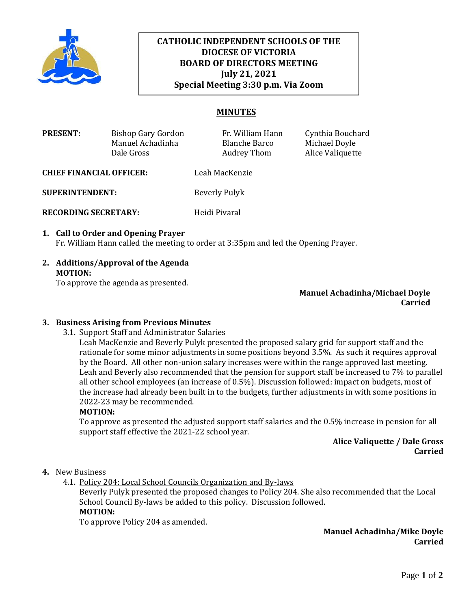

# **CATHOLIC INDEPENDENT SCHOOLS OF THE DIOCESE OF VICTORIA BOARD OF DIRECTORS MEETING July 21, 2021 Special Meeting 3:30 p.m. Via Zoom**

# **MINUTES**

| <b>PRESENT:</b>                 | Bishop Gary Gordon | Fr. William Hann | Cynthia Bouchard |
|---------------------------------|--------------------|------------------|------------------|
|                                 | Manuel Achadinha   | Blanche Barco    | Michael Doyle    |
|                                 | Dale Gross         | Audrey Thom      | Alice Valiquette |
| <b>CHIEF FINANCIAL OFFICER:</b> |                    | Leah MacKenzie   |                  |

**SUPERINTENDENT:** Beverly Pulyk

**RECORDING SECRETARY:** Heidi Pivaral

## **1. Call to Order and Opening Prayer**  Fr. William Hann called the meeting to order at 3:35pm and led the Opening Prayer.

**2. Additions/Approval of the Agenda MOTION:**

To approve the agenda as presented.

**Manuel Achadinha/Michael Doyle Carried**

### **3. Business Arising from Previous Minutes**

3.1. Support Staff and Administrator Salaries

Leah MacKenzie and Beverly Pulyk presented the proposed salary grid for support staff and the rationale for some minor adjustments in some positions beyond 3.5%. As such it requires approval by the Board. All other non-union salary increases were within the range approved last meeting. Leah and Beverly also recommended that the pension for support staff be increased to 7% to parallel all other school employees (an increase of 0.5%). Discussion followed: impact on budgets, most of the increase had already been built in to the budgets, further adjustments in with some positions in 2022-23 may be recommended.

#### **MOTION:**

To approve as presented the adjusted support staff salaries and the 0.5% increase in pension for all support staff effective the 2021-22 school year.

### **Alice Valiquette / Dale Gross Carried**

#### **4.** New Business

4.1. Policy 204: Local School Councils Organization and By-laws

Beverly Pulyk presented the proposed changes to Policy 204. She also recommended that the Local School Council By-laws be added to this policy. Discussion followed. **MOTION:**

To approve Policy 204 as amended.

**Manuel Achadinha/Mike Doyle Carried**